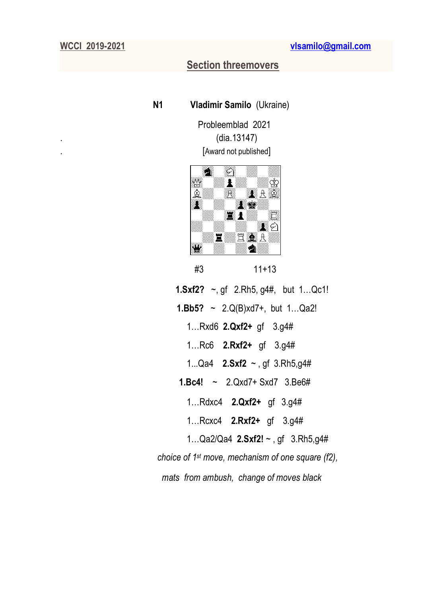# **Section threemovers**

 **N1 Vladimir Samilo** (Ukraine)

 Probleemblad 2021 .(dia.13147) . [Award not published]



#3 11+13

 **1.Sxf2?** ~, gf 2.Rh5, g4#, but 1…Qc1! **1.Bb5?** ~ 2.Q(B)xd7+, but 1…Qa2! 1…Rxd6 **2.Qxf2+** gf 3.g4# 1…Rc6 **2.Rxf2+** gf 3.g4# 1...Qa4 **2.Sxf2** ~ , gf 3.Rh5,g4# **1.Bc4!** ~ 2.Qxd7+ Sxd7 3.Be6# 1…Rdxc4 **2.Qxf2+** gf 3.g4# 1…Rcxc4 **2.Rxf2+** gf 3.g4# 1…Qa2/Qa4 **2.Sxf2!** ~ , gf 3.Rh5,g4# *choice of 1 st move, mechanism of one square (f2), mats from ambush, change of moves black*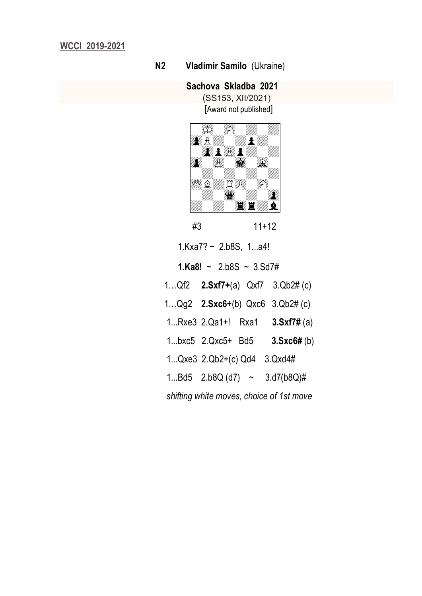### **N2 Vladimir Samilo** (Ukraine)

## **Sachova Skladba 2021**

 (SS153, XII/2021) [Award not published]



 #3 11+12 1.Kxa7? ~ 2.b8S, 1...a4! **1.Ka8!** ~ 2.b8S ~  $3.5d7#$  1…Qf2 **2.Sxf7+**(a) Qxf7 3.Qb2# (c) 1…Qg2 **2.Sxc6+**(b) Qxc6 3.Qb2# (c) 1...Rxe3 2.Qa1+! Rxa1 **3.Sxf7#** (a) 1...bxc5 2.Qxc5+ Bd5 **3.Sxc6#** (b) 1...Qxe3 2.Qb2+(c) Qd4 3.Qxd4# 1...Bd5  $2.b8Q$  (d7)  $\sim$   $3.d7(b8Q)$ # *shifting white moves, choice of 1st move*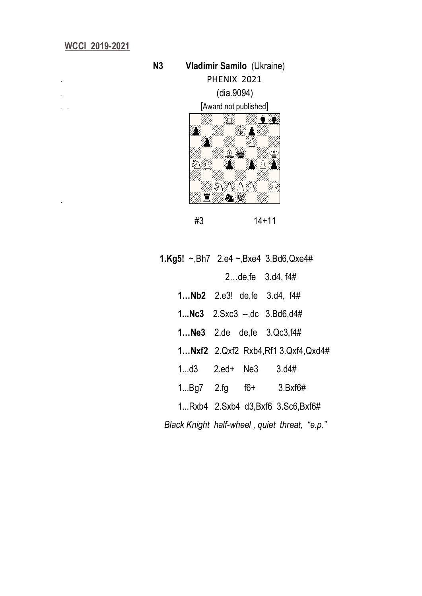.



|                        |  | 2de, fe $3.04, 14#$                        |
|------------------------|--|--------------------------------------------|
|                        |  | <b>1 Nb2</b> 2.e3! de, fe 3.d4, $f4#$      |
|                        |  | 1 $Nc3$ 2. Sxc $3 -1$ , dc 3. Bd $6$ , d4# |
|                        |  | <b>1 Ne3</b> 2.de de, fe $3. Qc3, 14#$     |
|                        |  | 1 Nxf2 2. Qxf2 Rxb4, Rf1 3. Qxf4, Qxd4#    |
| 1 $d3$ 2.ed+ Ne3 3.d4# |  |                                            |
|                        |  | $1Bq7$ 2.fg f6+ 3.Bxf6#                    |
|                        |  | 1Rxb4 2.Sxb4 d3,Bxf6 3.Sc6,Bxf6#           |
|                        |  |                                            |

*Black Knight half-wheel , quiet threat, "e.p."*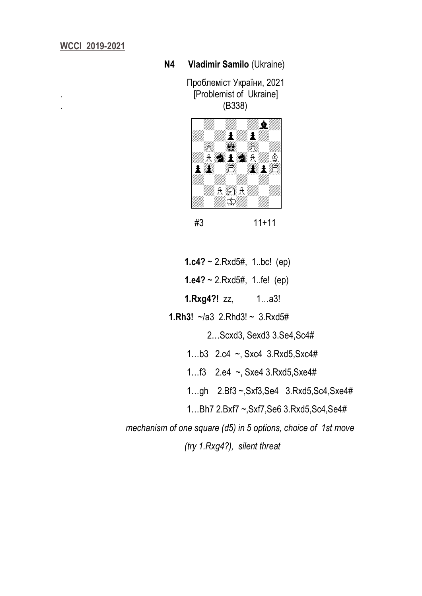#### **N4 Vladimir Samilo** (Ukraine)

 Проблеміст України, 2021 . [Problemist of Ukraine] . (B338)



#3 11+11

**1.c4?** ~ 2.Rxd5#, 1..bc! (ep)

 **1.e4?** ~ 2.Rxd5#, 1..fe! (ep)

**1.Rxg4?!** zz, 1…a3!

**1.Rh3!** ~/a3 2.Rhd3! ~ 3.Rxd5#

2…Scxd3, Sexd3 3.Se4,Sc4#

1…b3 2.c4 ~, Sxc4 3.Rxd5,Sxc4#

1…f3 2.e4 ~, Sxe4 3.Rxd5,Sxe4#

1…gh 2.Bf3 ~,Sxf3,Se4 3.Rxd5,Sc4,Sxe4#

1…Bh7 2.Bxf7 ~,Sxf7,Se6 3.Rxd5,Sc4,Se4#

*mechanism of one square (d5) in 5 options, choice of 1st move* 

 *(try 1.Rxg4?), silent threat*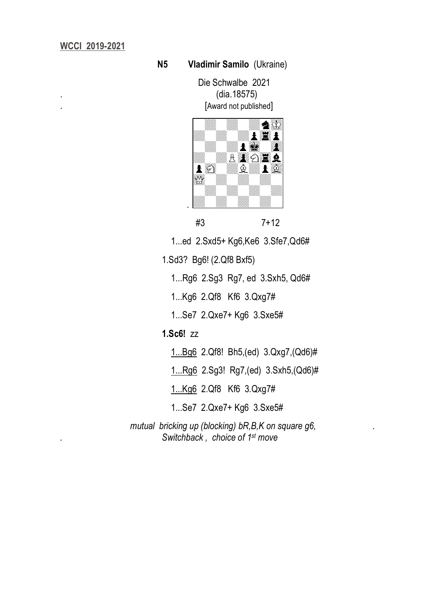#### **N5 Vladimir Samilo** (Ukraine)

 Die Schwalbe 2021 . (dia.18575) [Award not published]



#3 7+12

1...ed 2.Sxd5+ Kg6,Ke6 3.Sfe7,Qd6#

1.Sd3? Bg6! (2.Qf8 Bxf5)

1...Rg6 2.Sg3 Rg7, ed 3.Sxh5, Qd6#

1...Kg6 2.Qf8 Kf6 3.Qxg7#

1...Se7 2.Qxe7+ Kg6 3.Sxe5#

## **1.Sc6!** zz

1...Bg6 2.Qf8! Bh5,(ed) 3.Qxg7,(Qd6)#

1...Rg6 2.Sg3! Rg7,(ed) 3.Sxh5,(Qd6)#

1...Kg6 2.Qf8 Kf6 3.Qxg7#

1...Se7 2.Qxe7+ Kg6 3.Sxe5#

mutual bricking up (blocking) bR,B,K on square g6, *. Switchback , choice of 1 st move*